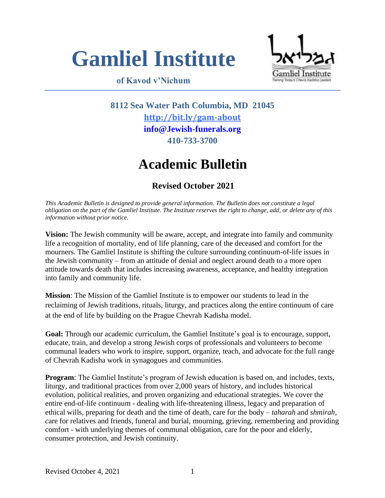

# **of Kavod v'Nichum**



**8112 Sea Water Path Columbia, MD 21045 <http://bit.ly/gam-about> [info@Jewish-funerals.org](mailto:info@Jewish-funerals.org) 410-733-3700**

# **Academic Bulletin**

# **Revised October 2021**

*This Academic Bulletin is designed to provide general information. The Bulletin does not constitute a legal obligation on the part of the Gamliel Institute. The Institute reserves the right to change, add, or delete any of this information without prior notice.*

**Vision:** The Jewish community will be aware, accept, and integrate into family and community life a recognition of mortality, end of life planning, care of the deceased and comfort for the mourners. The Gamliel Institute is shifting the culture surrounding continuum-of-life issues in the Jewish community – from an attitude of denial and neglect around death to a more open attitude towards death that includes increasing awareness, acceptance, and healthy integration into family and community life.

**Mission**: The Mission of the Gamliel Institute is to empower our students to lead in the reclaiming of Jewish traditions, rituals, liturgy, and practices along the entire continuum of care at the end of life by building on the Prague Chevrah Kadisha model.

**Goal:** Through our academic curriculum, the Gamliel Institute's goal is to encourage, support, educate, train, and develop a strong Jewish corps of professionals and volunteers to become communal leaders who work to inspire, support, organize, teach, and advocate for the full range of Chevrah Kadisha work in synagogues and communities.

**Program**: The Gamliel Institute's program of Jewish education is based on, and includes, texts, liturgy, and traditional practices from over 2,000 years of history, and includes historical evolution, political realities, and proven organizing and educational strategies. We cover the entire end-of-life continuum - dealing with life-threatening illness, legacy and preparation of ethical wills, preparing for death and the time of death, care for the body – *taharah* and *shmirah, c*are for relatives and friends, funeral and burial, mourning, grieving, remembering and providing comfort - with underlying themes of communal obligation, care for the poor and elderly, consumer protection, and Jewish continuity.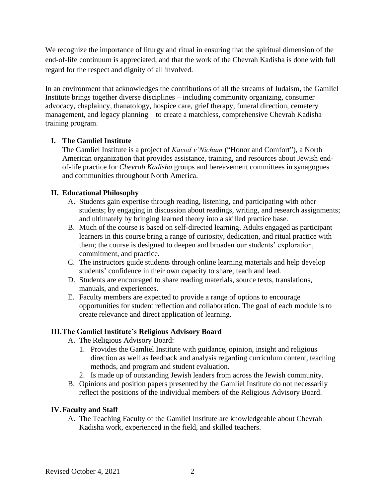We recognize the importance of liturgy and ritual in ensuring that the spiritual dimension of the end-of-life continuum is appreciated, and that the work of the Chevrah Kadisha is done with full regard for the respect and dignity of all involved.

In an environment that acknowledges the contributions of all the streams of Judaism, the Gamliel Institute brings together diverse disciplines – including community organizing, consumer advocacy, chaplaincy*,* thanatology, hospice care, grief therapy, funeral direction, cemetery management, and legacy planning – to create a matchless, comprehensive Chevrah Kadisha training program.

#### **I. The Gamliel Institute**

The Gamliel Institute is a project of *Kavod v'Nichum* ("Honor and Comfort"), a North American organization that provides assistance, training, and resources about Jewish endof-life practice for *Chevrah Kadisha* groups and bereavement committees in synagogues and communities throughout North America.

### **II. Educational Philosophy**

- A. Students gain expertise through reading, listening, and participating with other students; by engaging in discussion about readings, writing, and research assignments; and ultimately by bringing learned theory into a skilled practice base.
- B. Much of the course is based on self-directed learning. Adults engaged as participant learners in this course bring a range of curiosity, dedication, and ritual practice with them; the course is designed to deepen and broaden our students' exploration, commitment, and practice.
- C. The instructors guide students through online learning materials and help develop students' confidence in their own capacity to share, teach and lead.
- D. Students are encouraged to share reading materials, source texts, translations, manuals, and experiences.
- E. Faculty members are expected to provide a range of options to encourage opportunities for student reflection and collaboration. The goal of each module is to create relevance and direct application of learning.

# **III.The Gamliel Institute's Religious Advisory Board**

- A. The Religious Advisory Board:
	- 1. Provides the Gamliel Institute with guidance, opinion, insight and religious direction as well as feedback and analysis regarding curriculum content, teaching methods, and program and student evaluation.
	- 2. Is made up of outstanding Jewish leaders from across the Jewish community.
- B. Opinions and position papers presented by the Gamliel Institute do not necessarily reflect the positions of the individual members of the Religious Advisory Board.

#### **IV.Faculty and Staff**

A. The Teaching Faculty of the Gamliel Institute are knowledgeable about Chevrah Kadisha work, experienced in the field, and skilled teachers.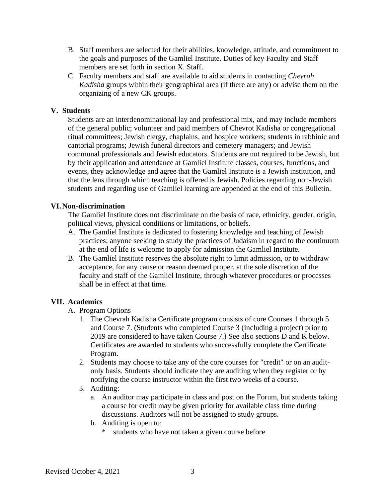- B. Staff members are selected for their abilities, knowledge, attitude, and commitment to the goals and purposes of the Gamliel Institute. Duties of key Faculty and Staff members are set forth in section X. Staff.
- C. Faculty members and staff are available to aid students in contacting *Chevrah Kadisha* groups within their geographical area (if there are any) or advise them on the organizing of a new CK groups.

#### **V. Students**

Students are an interdenominational lay and professional mix, and may include members of the general public; volunteer and paid members of Chevrot Kadisha or congregational ritual committees; Jewish clergy, chaplains, and hospice workers; students in rabbinic and cantorial programs; Jewish funeral directors and cemetery managers; and Jewish communal professionals and Jewish educators. Students are not required to be Jewish, but by their application and attendance at Gamliel Institute classes, courses, functions, and events, they acknowledge and agree that the Gamliel Institute is a Jewish institution, and that the lens through which teaching is offered is Jewish. Policies regarding non-Jewish students and regarding use of Gamliel learning are appended at the end of this Bulletin.

#### **VI. Non-discrimination**

The Gamliel Institute does not discriminate on the basis of race, ethnicity, gender, origin, political views, physical conditions or limitations, or beliefs.

- A. The Gamliel Institute is dedicated to fostering knowledge and teaching of Jewish practices; anyone seeking to study the practices of Judaism in regard to the continuum at the end of life is welcome to apply for admission the Gamliel Institute.
- B. The Gamliel Institute reserves the absolute right to limit admission, or to withdraw acceptance, for any cause or reason deemed proper, at the sole discretion of the faculty and staff of the Gamliel Institute, through whatever procedures or processes shall be in effect at that time.

#### **VII. Academics**

- A. Program Options
	- 1. The Chevrah Kadisha Certificate program consists of core Courses 1 through 5 and Course 7. (Students who completed Course 3 (including a project) prior to 2019 are considered to have taken Course 7.) See also sections D and K below. Certificates are awarded to students who successfully complete the Certificate Program.
	- 2. Students may choose to take any of the core courses for "credit" or on an auditonly basis. Students should indicate they are auditing when they register or by notifying the course instructor within the first two weeks of a course.
	- 3. Auditing:
		- a. An auditor may participate in class and post on the Forum, but students taking a course for credit may be given priority for available class time during discussions. Auditors will not be assigned to study groups.
		- b. Auditing is open to:
			- \* students who have not taken a given course before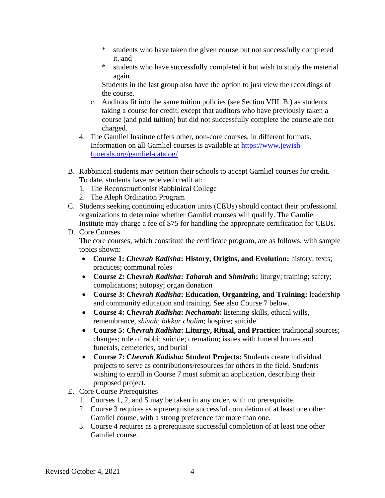- \* students who have taken the given course but not successfully completed it, and
- \* students who have successfully completed it but wish to study the material again.

Students in the last group also have the option to just view the recordings of the course.

- c. Auditors fit into the same tuition policies (see Section VIII. B.) as students taking a course for credit, except that auditors who have previously taken a course (and paid tuition) but did not successfully complete the course are not charged.
- 4. The Gamliel Institute offers other, non-core courses, in different formats. Information on all Gamliel courses is available at https://www.jewishfunerals.org/gamliel-catalog/
- B. Rabbinical students may petition their schools to accept Gamliel courses for credit. To date, students have received credit at:
	- 1. The Reconstructionist Rabbinical College
	- 2. The Aleph Ordination Program
- C. Students seeking continuing education units (CEUs) should contact their professional organizations to determine whether Gamliel courses will qualify. The Gamliel Institute may charge a fee of \$75 for handling the appropriate certification for CEUs.
- D. Core Courses

The core courses, which constitute the certificate program, are as follows, with sample topics shown:

- **Course 1:** *Chevrah Kadisha***: History, Origins, and Evolution:** history; texts; practices; communal roles
- **Course 2:** *Chevrah Kadisha***:** *Taharah* **and** *Shmirah***:** liturgy; training; safety; complications; autopsy; organ donation
- **Course 3:** *Chevrah Kadisha***: Education, Organizing, and Training:** leadership and community education and training. See also Course 7 below.
- **Course 4:** *Chevrah Kadisha***:** *Nechamah***:** listening skills, ethical wills, remembrance, *shivah*; *bikkur cholim*; hospice; suicide
- **Course 5:** *Chevrah Kadisha***: Liturgy, Ritual, and Practice:** traditional sources; changes; role of rabbi; suicide; cremation; issues with funeral homes and funerals, cemeteries, and burial
- **Course 7: C***hevrah Kadisha:* **Student Projects:** Students create individual projects to serve as contributions/resources for others in the field. Students wishing to enroll in Course 7 must submit an application, describing their proposed project.
- E. Core Course Prerequisites
	- 1. Courses 1, 2, and 5 may be taken in any order, with no prerequisite.
	- 2. Course 3 requires as a prerequisite successful completion of at least one other Gamliel course, with a strong preference for more than one.
	- 3. Course 4 requires as a prerequisite successful completion of at least one other Gamliel course.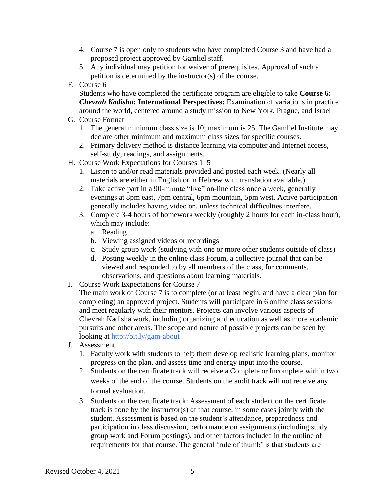- 4. Course 7 is open only to students who have completed Course 3 and have had a proposed project approved by Gamliel staff.
- 5. Any individual may petition for waiver of prerequisites. Approval of such a petition is determined by the instructor(s) of the course.
- F. Course 6

Students who have completed the certificate program are eligible to take **Course 6:**  *Chevrah Kadisha***: International Perspectives:** Examination of variations in practice around the world, centered around a study mission to New York, Prague, and Israel

- G. Course Format
	- 1. The general minimum class size is 10; maximum is 25. The Gamliel Institute may declare other minimum and maximum class sizes for specific courses.
	- 2. Primary delivery method is distance learning via computer and Internet access, self-study, readings, and assignments.
- H. Course Work Expectations for Courses 1–5
	- 1. Listen to and/or read materials provided and posted each week. (Nearly all materials are either in English or in Hebrew with translation available.)
	- 2. Take active part in a 90-minute "live" on-line class once a week, generally evenings at 8pm east, 7pm central, 6pm mountain, 5pm west. Active participation generally includes having video on, unless technical difficulties interfere.
	- 3. Complete 3-4 hours of homework weekly (roughly 2 hours for each in-class hour), which may include:
		- a. Reading
		- b. Viewing assigned videos or recordings
		- c. Study group work (studying with one or more other students outside of class)
		- d. Posting weekly in the online class Forum, a collective journal that can be viewed and responded to by all members of the class, for comments, observations, and questions about learning materials.
- I. Course Work Expectations for Course 7

The main work of Course 7 is to complete (or at least begin, and have a clear plan for completing) an approved project. Students will participate in 6 online class sessions and meet regularly with their mentors. Projects can involve various aspects of Chevrah Kadisha work, including organizing and education as well as more academic pursuits and other areas. The scope and nature of possible projects can be seen by looking at <http://bit.ly/gam-about>

- J. Assessment
	- 1. Faculty work with students to help them develop realistic learning plans, monitor progress on the plan, and assess time and energy input into the course.
	- 2. Students on the certificate track will receive a Complete or Incomplete within two weeks of the end of the course. Students on the audit track will not receive any formal evaluation.
	- 3. Students on the certificate track: Assessment of each student on the certificate track is done by the instructor(s) of that course, in some cases jointly with the student. Assessment is based on the student's attendance, preparedness and participation in class discussion, performance on assignments (including study group work and Forum postings), and other factors included in the outline of requirements for that course. The general 'rule of thumb' is that students are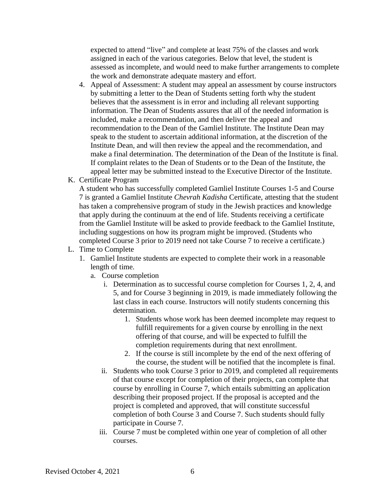expected to attend "live" and complete at least 75% of the classes and work assigned in each of the various categories. Below that level, the student is assessed as incomplete, and would need to make further arrangements to complete the work and demonstrate adequate mastery and effort.

- 4. Appeal of Assessment: A student may appeal an assessment by course instructors by submitting a letter to the Dean of Students setting forth why the student believes that the assessment is in error and including all relevant supporting information. The Dean of Students assures that all of the needed information is included, make a recommendation, and then deliver the appeal and recommendation to the Dean of the Gamliel Institute. The Institute Dean may speak to the student to ascertain additional information, at the discretion of the Institute Dean, and will then review the appeal and the recommendation, and make a final determination. The determination of the Dean of the Institute is final. If complaint relates to the Dean of Students or to the Dean of the Institute, the appeal letter may be submitted instead to the Executive Director of the Institute.
- K. Certificate Program

A student who has successfully completed Gamliel Institute Courses 1-5 and Course 7 is granted a Gamliel Institute *Chevrah Kadisha* Certificate, attesting that the student has taken a comprehensive program of study in the Jewish practices and knowledge that apply during the continuum at the end of life. Students receiving a certificate from the Gamliel Institute will be asked to provide feedback to the Gamliel Institute, including suggestions on how its program might be improved. (Students who completed Course 3 prior to 2019 need not take Course 7 to receive a certificate.)

- L. Time to Complete
	- 1. Gamliel Institute students are expected to complete their work in a reasonable length of time.
		- a. Course completion
			- i. Determination as to successful course completion for Courses 1, 2, 4, and 5, and for Course 3 beginning in 2019, is made immediately following the last class in each course. Instructors will notify students concerning this determination.
				- 1. Students whose work has been deemed incomplete may request to fulfill requirements for a given course by enrolling in the next offering of that course, and will be expected to fulfill the completion requirements during that next enrollment.
				- 2. If the course is still incomplete by the end of the next offering of the course, the student will be notified that the incomplete is final.
			- ii. Students who took Course 3 prior to 2019, and completed all requirements of that course except for completion of their projects, can complete that course by enrolling in Course 7, which entails submitting an application describing their proposed project. If the proposal is accepted and the project is completed and approved, that will constitute successful completion of both Course 3 and Course 7. Such students should fully participate in Course 7.
			- iii. Course 7 must be completed within one year of completion of all other courses.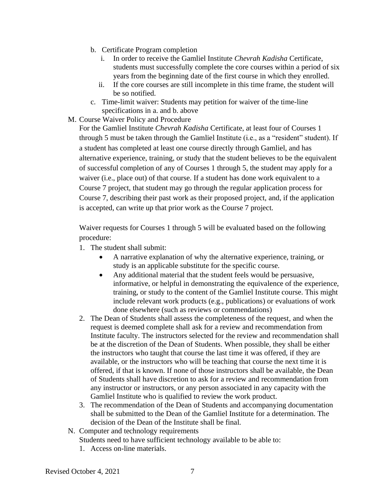- b. Certificate Program completion
	- i. In order to receive the Gamliel Institute *Chevrah Kadisha* Certificate, students must successfully complete the core courses within a period of six years from the beginning date of the first course in which they enrolled.
	- ii. If the core courses are still incomplete in this time frame, the student will be so notified.
- c. Time-limit waiver: Students may petition for waiver of the time-line specifications in a. and b. above
- M. Course Waiver Policy and Procedure

For the Gamliel Institute *Chevrah Kadisha* Certificate, at least four of Courses 1 through 5 must be taken through the Gamliel Institute (i.e., as a "resident" student). If a student has completed at least one course directly through Gamliel, and has alternative experience, training, or study that the student believes to be the equivalent of successful completion of any of Courses 1 through 5, the student may apply for a waiver (i.e., place out) of that course. If a student has done work equivalent to a Course 7 project, that student may go through the regular application process for Course 7, describing their past work as their proposed project, and, if the application is accepted, can write up that prior work as the Course 7 project.

Waiver requests for Courses 1 through 5 will be evaluated based on the following procedure:

- 1. The student shall submit:
	- A narrative explanation of why the alternative experience, training, or study is an applicable substitute for the specific course.
	- Any additional material that the student feels would be persuasive, informative, or helpful in demonstrating the equivalence of the experience, training, or study to the content of the Gamliel Institute course. This might include relevant work products (e.g., publications) or evaluations of work done elsewhere (such as reviews or commendations)
- 2. The Dean of Students shall assess the completeness of the request, and when the request is deemed complete shall ask for a review and recommendation from Institute faculty. The instructors selected for the review and recommendation shall be at the discretion of the Dean of Students. When possible, they shall be either the instructors who taught that course the last time it was offered, if they are available, or the instructors who will be teaching that course the next time it is offered, if that is known. If none of those instructors shall be available, the Dean of Students shall have discretion to ask for a review and recommendation from any instructor or instructors, or any person associated in any capacity with the Gamliel Institute who is qualified to review the work product.
- 3. The recommendation of the Dean of Students and accompanying documentation shall be submitted to the Dean of the Gamliel Institute for a determination. The decision of the Dean of the Institute shall be final.
- N. Computer and technology requirements

Students need to have sufficient technology available to be able to:

1. Access on-line materials.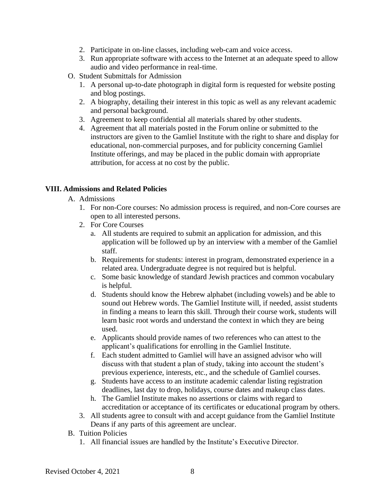- 2. Participate in on-line classes, including web-cam and voice access.
- 3. Run appropriate software with access to the Internet at an adequate speed to allow audio and video performance in real-time.
- O. Student Submittals for Admission
	- 1. A personal up-to-date photograph in digital form is requested for website posting and blog postings.
	- 2. A biography, detailing their interest in this topic as well as any relevant academic and personal background.
	- 3. Agreement to keep confidential all materials shared by other students.
	- 4. Agreement that all materials posted in the Forum online or submitted to the instructors are given to the Gamliel Institute with the right to share and display for educational, non-commercial purposes, and for publicity concerning Gamliel Institute offerings, and may be placed in the public domain with appropriate attribution, for access at no cost by the public.

#### **VIII. Admissions and Related Policies**

- A. Admissions
	- 1. For non-Core courses: No admission process is required, and non-Core courses are open to all interested persons.
	- 2. For Core Courses
		- a. All students are required to submit an application for admission, and this application will be followed up by an interview with a member of the Gamliel staff.
		- b. Requirements for students: interest in program, demonstrated experience in a related area. Undergraduate degree is not required but is helpful.
		- c. Some basic knowledge of standard Jewish practices and common vocabulary is helpful.
		- d. Students should know the Hebrew alphabet (including vowels) and be able to sound out Hebrew words. The Gamliel Institute will, if needed, assist students in finding a means to learn this skill. Through their course work, students will learn basic root words and understand the context in which they are being used.
		- e. Applicants should provide names of two references who can attest to the applicant's qualifications for enrolling in the Gamliel Institute.
		- f. Each student admitted to Gamliel will have an assigned advisor who will discuss with that student a plan of study, taking into account the student's previous experience, interests, etc., and the schedule of Gamliel courses.
		- g. Students have access to an institute academic calendar listing registration deadlines, last day to drop, holidays, course dates and makeup class dates.
		- h. The Gamliel Institute makes no assertions or claims with regard to accreditation or acceptance of its certificates or educational program by others.
	- 3. All students agree to consult with and accept guidance from the Gamliel Institute Deans if any parts of this agreement are unclear.
- B. Tuition Policies
	- 1. All financial issues are handled by the Institute's Executive Director.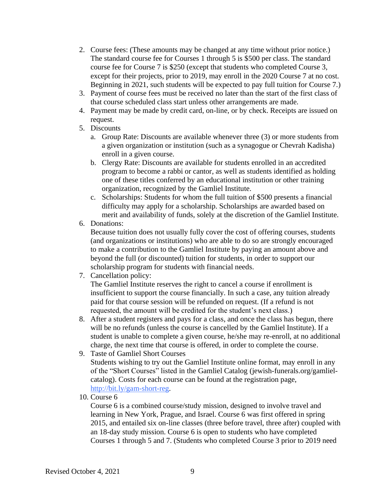- 2. Course fees: (These amounts may be changed at any time without prior notice.) The standard course fee for Courses 1 through 5 is \$500 per class. The standard course fee for Course 7 is \$250 (except that students who completed Course 3, except for their projects, prior to 2019, may enroll in the 2020 Course 7 at no cost. Beginning in 2021, such students will be expected to pay full tuition for Course 7.)
- 3. Payment of course fees must be received no later than the start of the first class of that course scheduled class start unless other arrangements are made.
- 4. Payment may be made by credit card, on-line, or by check. Receipts are issued on request.
- 5. Discounts
	- a. Group Rate: Discounts are available whenever three (3) or more students from a given organization or institution (such as a synagogue or Chevrah Kadisha) enroll in a given course.
	- b. Clergy Rate: Discounts are available for students enrolled in an accredited program to become a rabbi or cantor, as well as students identified as holding one of these titles conferred by an educational institution or other training organization, recognized by the Gamliel Institute.
	- c. Scholarships: Students for whom the full tuition of \$500 presents a financial difficulty may apply for a scholarship. Scholarships are awarded based on merit and availability of funds, solely at the discretion of the Gamliel Institute.
- 6. Donations:

Because tuition does not usually fully cover the cost of offering courses, students (and organizations or institutions) who are able to do so are strongly encouraged to make a contribution to the Gamliel Institute by paying an amount above and beyond the full (or discounted) tuition for students, in order to support our scholarship program for students with financial needs.

7. Cancellation policy:

The Gamliel Institute reserves the right to cancel a course if enrollment is insufficient to support the course financially. In such a case, any tuition already paid for that course session will be refunded on request. (If a refund is not requested, the amount will be credited for the student's next class.)

- 8. After a student registers and pays for a class, and once the class has begun, there will be no refunds (unless the course is cancelled by the Gamliel Institute). If a student is unable to complete a given course, he/she may re-enroll, at no additional charge, the next time that course is offered, in order to complete the course.
- 9. Taste of Gamliel Short Courses Students wishing to try out the Gamliel Institute online format, may enroll in any of the "Short Courses" listed in the Gamliel Catalog (jewish-funerals.org/gamlielcatalog). Costs for each course can be found at the registration page, [http://bit.ly/gam-short-reg.](http://bit.ly/gam-short-reg)
- 10. Course 6

Course 6 is a combined course/study mission, designed to involve travel and learning in New York, Prague, and Israel. Course 6 was first offered in spring 2015, and entailed six on-line classes (three before travel, three after) coupled with an 18-day study mission. Course 6 is open to students who have completed Courses 1 through 5 and 7. (Students who completed Course 3 prior to 2019 need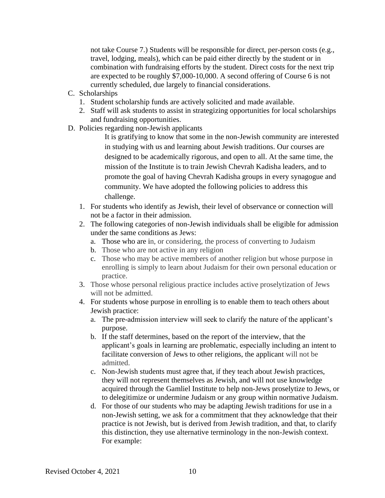not take Course 7.) Students will be responsible for direct, per-person costs (e.g., travel, lodging, meals), which can be paid either directly by the student or in combination with fundraising efforts by the student. Direct costs for the next trip are expected to be roughly \$7,000-10,000. A second offering of Course 6 is not currently scheduled, due largely to financial considerations.

- C. Scholarships
	- 1. Student scholarship funds are actively solicited and made available.
	- 2. Staff will ask students to assist in strategizing opportunities for local scholarships and fundraising opportunities.
- D. Policies regarding non-Jewish applicants

It is gratifying to know that some in the non-Jewish community are interested in studying with us and learning about Jewish traditions. Our courses are designed to be academically rigorous, and open to all. At the same time, the mission of the Institute is to train Jewish Chevrah Kadisha leaders, and to promote the goal of having Chevrah Kadisha groups in every synagogue and community. We have adopted the following policies to address this challenge.

- 1. For students who identify as Jewish, their level of observance or connection will not be a factor in their admission.
- 2. The following categories of non-Jewish individuals shall be eligible for admission under the same conditions as Jews:
	- a. Those who are in, or considering, the process of converting to Judaism
	- b. Those who are not active in any religion
	- c. Those who may be active members of another religion but whose purpose in enrolling is simply to learn about Judaism for their own personal education or practice.
- 3. Those whose personal religious practice includes active proselytization of Jews will not be admitted.
- 4. For students whose purpose in enrolling is to enable them to teach others about Jewish practice:
	- a. The pre-admission interview will seek to clarify the nature of the applicant's purpose.
	- b. If the staff determines, based on the report of the interview, that the applicant's goals in learning are problematic, especially including an intent to facilitate conversion of Jews to other religions, the applicant will not be admitted.
	- c. Non-Jewish students must agree that, if they teach about Jewish practices, they will not represent themselves as Jewish, and will not use knowledge acquired through the Gamliel Institute to help non-Jews proselytize to Jews, or to delegitimize or undermine Judaism or any group within normative Judaism.
	- d. For those of our students who may be adapting Jewish traditions for use in a non-Jewish setting, we ask for a commitment that they acknowledge that their practice is not Jewish, but is derived from Jewish tradition, and that, to clarify this distinction, they use alternative terminology in the non-Jewish context. For example: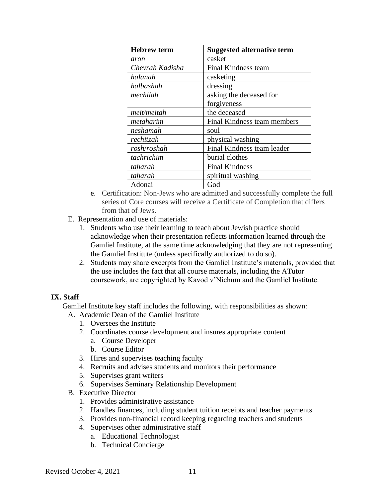| <b>Hebrew term</b> | <b>Suggested alternative term</b> |
|--------------------|-----------------------------------|
| aron               | casket                            |
| Chevrah Kadisha    | Final Kindness team               |
| halanah            | casketing                         |
| halbashah          | dressing                          |
| mechilah           | asking the deceased for           |
|                    | forgiveness                       |
| meit/meitah        | the deceased                      |
| metaharim          | Final Kindness team members       |
| neshamah           | soul                              |
| rechitzah          | physical washing                  |
| rosh/roshah        | Final Kindness team leader        |
| tachrichim         | burial clothes                    |
| taharah            | <b>Final Kindness</b>             |
| taharah            | spiritual washing                 |
| Adonai             | God                               |

- e. Certification: Non-Jews who are admitted and successfully complete the full series of Core courses will receive a Certificate of Completion that differs from that of Jews.
- E. Representation and use of materials:
	- 1. Students who use their learning to teach about Jewish practice should acknowledge when their presentation reflects information learned through the Gamliel Institute, at the same time acknowledging that they are not representing the Gamliel Institute (unless specifically authorized to do so).
	- 2. Students may share excerpts from the Gamliel Institute's materials, provided that the use includes the fact that all course materials, including the ATutor coursework, are copyrighted by Kavod v'Nichum and the Gamliel Institute.

#### **IX. Staff**

Gamliel Institute key staff includes the following, with responsibilities as shown:

- A. Academic Dean of the Gamliel Institute
	- 1. Oversees the Institute
	- 2. Coordinates course development and insures appropriate content
		- a. Course Developer
		- b. Course Editor
	- 3. Hires and supervises teaching faculty
	- 4. Recruits and advises students and monitors their performance
	- 5. Supervises grant writers
	- 6. Supervises Seminary Relationship Development
- B. Executive Director
	- 1. Provides administrative assistance
	- 2. Handles finances, including student tuition receipts and teacher payments
	- 3. Provides non-financial record keeping regarding teachers and students
	- 4. Supervises other administrative staff
		- a. Educational Technologist
		- b. Technical Concierge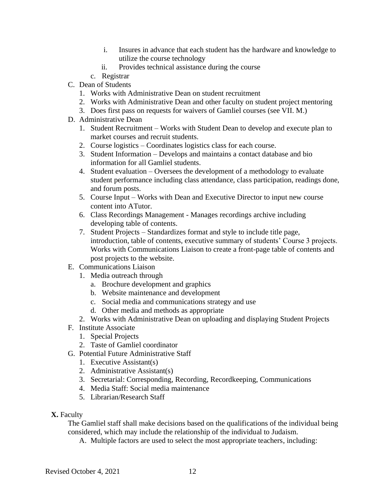- i. Insures in advance that each student has the hardware and knowledge to utilize the course technology
- ii. Provides technical assistance during the course
- c. Registrar
- C. Dean of Students
	- 1. Works with Administrative Dean on student recruitment
	- 2. Works with Administrative Dean and other faculty on student project mentoring
	- 3. Does first pass on requests for waivers of Gamliel courses (see VII. M.)
- D. Administrative Dean
	- 1. Student Recruitment Works with Student Dean to develop and execute plan to market courses and recruit students.
	- 2. Course logistics Coordinates logistics class for each course.
	- 3. Student Information Develops and maintains a contact database and bio information for all Gamliel students.
	- 4. Student evaluation Oversees the development of a methodology to evaluate student performance including class attendance, class participation, readings done, and forum posts.
	- 5. Course Input Works with Dean and Executive Director to input new course content into ATutor.
	- 6. Class Recordings Management Manages recordings archive including developing table of contents.
	- 7. Student Projects Standardizes format and style to include title page, introduction, table of contents, executive summary of students' Course 3 projects. Works with Communications Liaison to create a front-page table of contents and post projects to the website.
- E. Communications Liaison
	- 1. Media outreach through
		- a. Brochure development and graphics
		- b. Website maintenance and development
		- c. Social media and communications strategy and use
		- d. Other media and methods as appropriate
	- 2. Works with Administrative Dean on uploading and displaying Student Projects
- F. Institute Associate
	- 1. Special Projects
	- 2. Taste of Gamliel coordinator
- G. Potential Future Administrative Staff
	- 1. Executive Assistant(s)
	- 2. Administrative Assistant(s)
	- 3. Secretarial: Corresponding, Recording, Recordkeeping, Communications
	- 4. Media Staff: Social media maintenance
	- 5. Librarian/Research Staff
- **X.** Faculty

The Gamliel staff shall make decisions based on the qualifications of the individual being considered, which may include the relationship of the individual to Judaism.

A. Multiple factors are used to select the most appropriate teachers, including: